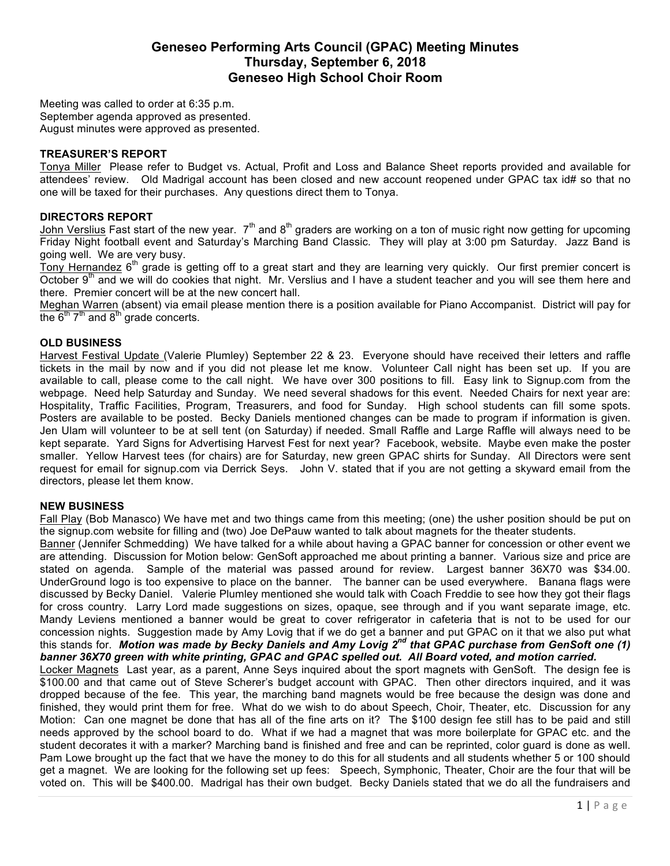# **Geneseo Performing Arts Council (GPAC) Meeting Minutes Thursday, September 6, 2018 Geneseo High School Choir Room**

Meeting was called to order at 6:35 p.m. September agenda approved as presented. August minutes were approved as presented.

#### **TREASURER'S REPORT**

Tonya Miller Please refer to Budget vs. Actual, Profit and Loss and Balance Sheet reports provided and available for attendees' review. Old Madrigal account has been closed and new account reopened under GPAC tax id# so that no one will be taxed for their purchases. Any questions direct them to Tonya.

## **DIRECTORS REPORT**

John Verslius Fast start of the new year.  $7<sup>th</sup>$  and  $8<sup>th</sup>$  graders are working on a ton of music right now getting for upcoming Friday Night football event and Saturday's Marching Band Classic. They will play at 3:00 pm Saturday. Jazz Band is going well. We are very busy.

Tony Hernandez  $6<sup>th</sup>$  grade is getting off to a great start and they are learning very quickly. Our first premier concert is October 9<sup>th</sup> and we will do cookies that night. Mr. Verslius and I have a student teacher and you will see them here and there. Premier concert will be at the new concert hall.

Meghan Warren (absent) via email please mention there is a position available for Piano Accompanist. District will pay for the  $6<sup>th</sup> 7<sup>th</sup>$  and  $8<sup>th</sup>$  grade concerts.

## **OLD BUSINESS**

Harvest Festival Update (Valerie Plumley) September 22 & 23. Everyone should have received their letters and raffle tickets in the mail by now and if you did not please let me know. Volunteer Call night has been set up. If you are available to call, please come to the call night. We have over 300 positions to fill. Easy link to Signup.com from the webpage. Need help Saturday and Sunday. We need several shadows for this event. Needed Chairs for next year are: Hospitality, Traffic Facilities, Program, Treasurers, and food for Sunday. High school students can fill some spots. Posters are available to be posted. Becky Daniels mentioned changes can be made to program if information is given. Jen Ulam will volunteer to be at sell tent (on Saturday) if needed. Small Raffle and Large Raffle will always need to be kept separate. Yard Signs for Advertising Harvest Fest for next year? Facebook, website. Maybe even make the poster smaller. Yellow Harvest tees (for chairs) are for Saturday, new green GPAC shirts for Sunday. All Directors were sent request for email for signup.com via Derrick Seys. John V. stated that if you are not getting a skyward email from the directors, please let them know.

#### **NEW BUSINESS**

Fall Play (Bob Manasco) We have met and two things came from this meeting; (one) the usher position should be put on the signup.com website for filling and (two) Joe DePauw wanted to talk about magnets for the theater students.

Banner (Jennifer Schmedding) We have talked for a while about having a GPAC banner for concession or other event we are attending. Discussion for Motion below: GenSoft approached me about printing a banner. Various size and price are stated on agenda. Sample of the material was passed around for review. Largest banner 36X70 was \$34.00. UnderGround logo is too expensive to place on the banner. The banner can be used everywhere. Banana flags were discussed by Becky Daniel. Valerie Plumley mentioned she would talk with Coach Freddie to see how they got their flags for cross country. Larry Lord made suggestions on sizes, opaque, see through and if you want separate image, etc. Mandy Leviens mentioned a banner would be great to cover refrigerator in cafeteria that is not to be used for our concession nights. Suggestion made by Amy Lovig that if we do get a banner and put GPAC on it that we also put what this stands for. *Motion was made by Becky Daniels and Amy Lovig 2nd that GPAC purchase from GenSoft one (1) banner 36X70 green with white printing, GPAC and GPAC spelled out. All Board voted, and motion carried.*

Locker Magnets Last year, as a parent, Anne Seys inquired about the sport magnets with GenSoft. The design fee is \$100.00 and that came out of Steve Scherer's budget account with GPAC. Then other directors inquired, and it was dropped because of the fee. This year, the marching band magnets would be free because the design was done and finished, they would print them for free. What do we wish to do about Speech, Choir, Theater, etc. Discussion for any Motion: Can one magnet be done that has all of the fine arts on it? The \$100 design fee still has to be paid and still needs approved by the school board to do. What if we had a magnet that was more boilerplate for GPAC etc. and the student decorates it with a marker? Marching band is finished and free and can be reprinted, color guard is done as well. Pam Lowe brought up the fact that we have the money to do this for all students and all students whether 5 or 100 should get a magnet. We are looking for the following set up fees: Speech, Symphonic, Theater, Choir are the four that will be voted on. This will be \$400.00. Madrigal has their own budget. Becky Daniels stated that we do all the fundraisers and